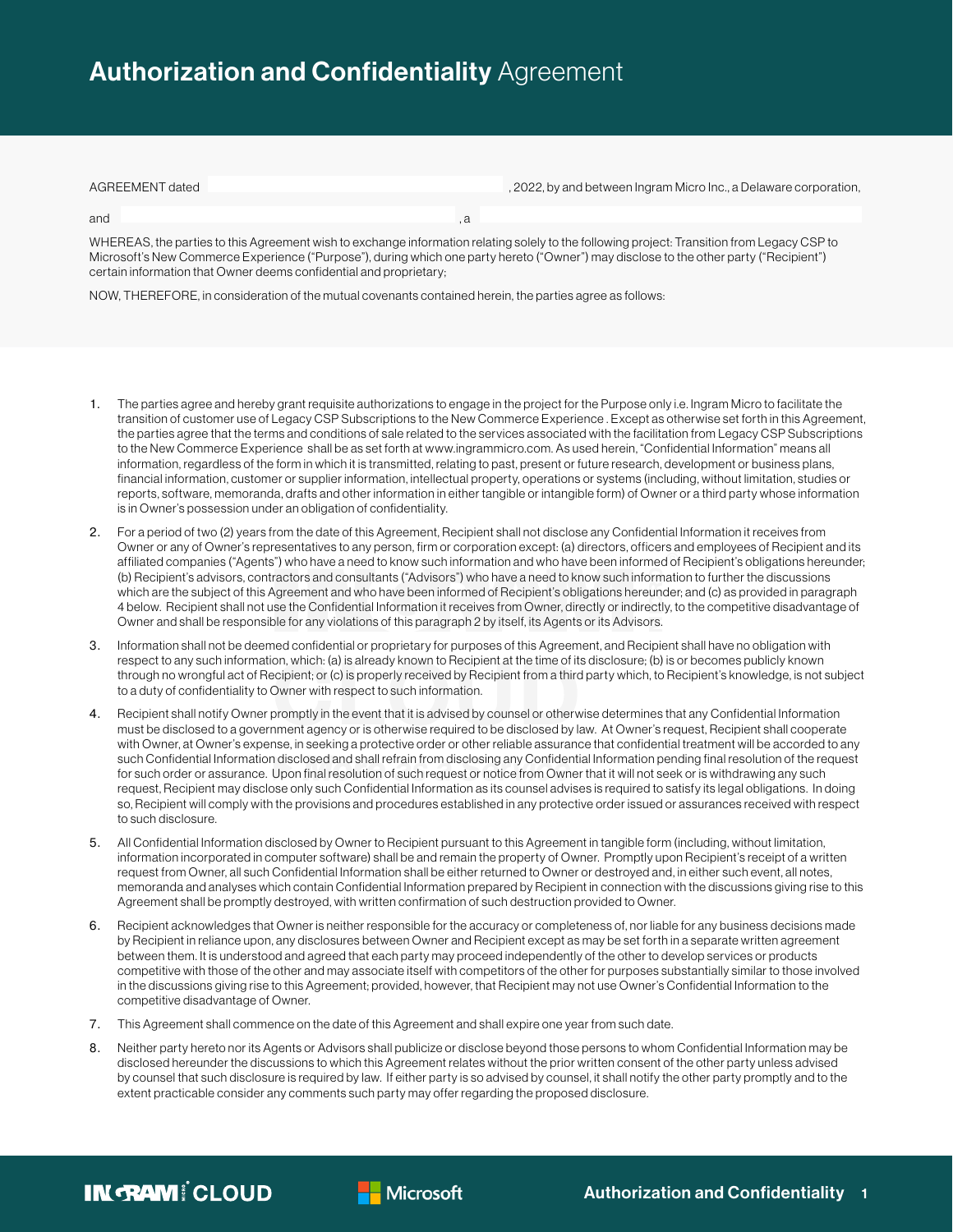## **Authorization and Confidentiality Agreement**

and , and , and , and , and , and , and , and , and , and , and , and , and , and , and , and , and , and , and , and , and , and , and , and , and , and , and , and , and , and , and , and , and , and , and , and , and ,

| AGREEMENT dated | , 2022, by and between Ingram Micro Inc., a Delaware corporation, |
|-----------------|-------------------------------------------------------------------|
|                 |                                                                   |

WHEREAS, the parties to this Agreement wish to exchange information relating solely to the following project: Transition from Legacy CSP to Microsoft's New Commerce Experience ("Purpose"), during which one party hereto ("Owner") may disclose to the other party ("Recipient") certain information that Owner deems confidential and proprietary;

NOW, THEREFORE, in consideration of the mutual covenants contained herein, the parties agree as follows:

- 1. The parties agree and hereby grant requisite authorizations to engage in the project for the Purpose only i.e. Ingram Micro to facilitate the transition of customer use of Legacy CSP Subscriptions to the New Commerce Experience . Except as otherwise set forth in this Agreement, the parties agree that the terms and conditions of sale related to the services associated with the facilitation from Legacy CSP Subscriptions to the New Commerce Experience shall be as set forth at www.ingrammicro.com. As used herein, "Confidential Information" means all information, regardless of the form in which it is transmitted, relating to past, present or future research, development or business plans, financial information, customer or supplier information, intellectual property, operations or systems (including, without limitation, studies or reports, software, memoranda, drafts and other information in either tangible or intangible form) of Owner or a third party whose information is in Owner's possession under an obligation of confidentiality.
- 2. For a period of two (2) years from the date of this Agreement, Recipient shall not disclose any Confidential Information it receives from Owner or any of Owner's representatives to any person, firm or corporation except: (a) directors, officers and employees of Recipient and its affiliated companies ("Agents") who have a need to know such information and who have been informed of Recipient's obligations hereunder; (b) Recipient's advisors, contractors and consultants ("Advisors") who have a need to know such information to further the discussions which are the subject of this Agreement and who have been informed of Recipient's obligations hereunder; and (c) as provided in paragraph 4 below. Recipient shall not use the Confidential Information it receives from Owner, directly or indirectly, to the competitive disadvantage of Owner and shall be responsible for any violations of this paragraph 2 by itself, its Agents or its Advisors.
- 3. Information shall not be deemed confidential or proprietary for purposes of this Agreement, and Recipient shall have no obligation with respect to any such information, which: (a) is already known to Recipient at the time of its disclosure; (b) is or becomes publicly known through no wrongful act of Recipient; or (c) is properly received by Recipient from a third party which, to Recipient's knowledge, is not subject to a duty of confidentiality to Owner with respect to such information.
- 4. Recipient shall notify Owner promptly in the event that it is advised by counsel or otherwise determines that any Confidential Information must be disclosed to a government agency or is otherwise required to be disclosed by law. At Owner's request, Recipient shall cooperate with Owner, at Owner's expense, in seeking a protective order or other reliable assurance that confidential treatment will be accorded to any such Confidential Information disclosed and shall refrain from disclosing any Confidential Information pending final resolution of the request for such order or assurance. Upon final resolution of such request or notice from Owner that it will not seek or is withdrawing any such request, Recipient may disclose only such Confidential Information as its counsel advises is required to satisfy its legal obligations. In doing so, Recipient will comply with the provisions and procedures established in any protective order issued or assurances received with respect to such disclosure.
- 5. All Confidential Information disclosed by Owner to Recipient pursuant to this Agreement in tangible form (including, without limitation, information incorporated in computer software) shall be and remain the property of Owner. Promptly upon Recipient's receipt of a written request from Owner, all such Confidential Information shall be either returned to Owner or destroyed and, in either such event, all notes, memoranda and analyses which contain Confidential Information prepared by Recipient in connection with the discussions giving rise to this Agreement shall be promptly destroyed, with written confirmation of such destruction provided to Owner.
- 6. Recipient acknowledges that Owner is neither responsible for the accuracy or completeness of, nor liable for any business decisions made by Recipient in reliance upon, any disclosures between Owner and Recipient except as may be set forth in a separate written agreement between them. It is understood and agreed that each party may proceed independently of the other to develop services or products competitive with those of the other and may associate itself with competitors of the other for purposes substantially similar to those involved in the discussions giving rise to this Agreement; provided, however, that Recipient may not use Owner's Confidential Information to the competitive disadvantage of Owner.
- 7. This Agreement shall commence on the date of this Agreement and shall expire one year from such date.
- 8. Neither party hereto nor its Agents or Advisors shall publicize or disclose beyond those persons to whom Confidential Information may be disclosed hereunder the discussions to which this Agreement relates without the prior written consent of the other party unless advised by counsel that such disclosure is required by law. If either party is so advised by counsel, it shall notify the other party promptly and to the extent practicable consider any comments such party may offer regarding the proposed disclosure.



**Nicrosoft**